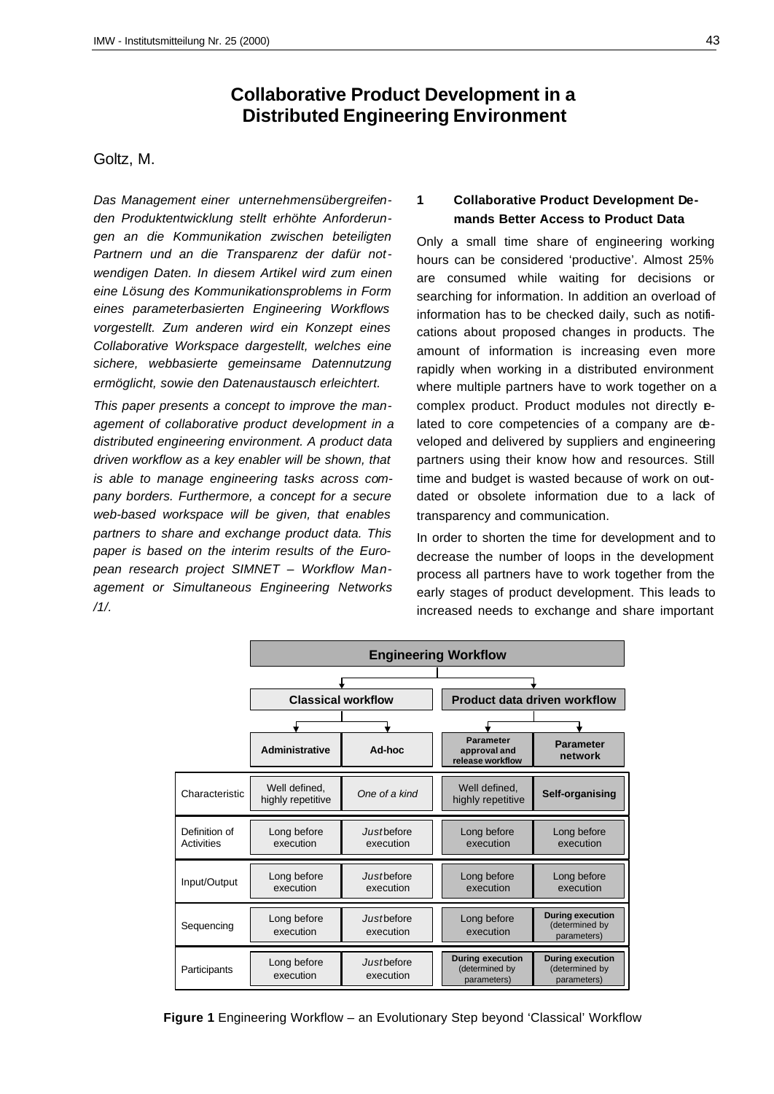# **Collaborative Product Development in a Distributed Engineering Environment**

#### Goltz, M.

*Das Management einer unternehmensübergreifenden Produktentwicklung stellt erhöhte Anforderungen an die Kommunikation zwischen beteiligten Partnern und an die Transparenz der dafür notwendigen Daten. In diesem Artikel wird zum einen eine Lösung des Kommunikationsproblems in Form eines parameterbasierten Engineering Workflows vorgestellt. Zum anderen wird ein Konzept eines Collaborative Workspace dargestellt, welches eine sichere, webbasierte gemeinsame Datennutzung ermöglicht, sowie den Datenaustausch erleichtert.*

*This paper presents a concept to improve the management of collaborative product development in a distributed engineering environment. A product data driven workflow as a key enabler will be shown, that is able to manage engineering tasks across company borders. Furthermore, a concept for a secure web-based workspace will be given, that enables partners to share and exchange product data. This paper is based on the interim results of the European research project SIMNET – Workflow Management or Simultaneous Engineering Networks /1/.*

#### **1 Collaborative Product Development Demands Better Access to Product Data**

Only a small time share of engineering working hours can be considered 'productive'. Almost 25% are consumed while waiting for decisions or searching for information. In addition an overload of information has to be checked daily, such as notifications about proposed changes in products. The amount of information is increasing even more rapidly when working in a distributed environment where multiple partners have to work together on a complex product. Product modules not directly elated to core competencies of a company are developed and delivered by suppliers and engineering partners using their know how and resources. Still time and budget is wasted because of work on outdated or obsolete information due to a lack of transparency and communication.

In order to shorten the time for development and to decrease the number of loops in the development process all partners have to work together from the early stages of product development. This leads to increased needs to exchange and share important

|                             | <b>Engineering Workflow</b>        |                         |                                                          |                                                          |
|-----------------------------|------------------------------------|-------------------------|----------------------------------------------------------|----------------------------------------------------------|
|                             |                                    |                         |                                                          |                                                          |
|                             | <b>Classical workflow</b>          |                         | <b>Product data driven workflow</b>                      |                                                          |
|                             |                                    |                         |                                                          |                                                          |
|                             | <b>Administrative</b>              | Ad-hoc                  | <b>Parameter</b><br>approval and<br>release workflow     | <b>Parameter</b><br>network                              |
| Characteristic              | Well defined.<br>highly repetitive | One of a kind           | Well defined.<br>highly repetitive                       | Self-organising                                          |
| Definition of<br>Activities | Long before<br>execution           | Justbefore<br>execution | Long before<br>execution                                 | Long before<br>execution                                 |
| Input/Output                | Long before<br>execution           | Justbefore<br>execution | Long before<br>execution                                 | Long before<br>execution                                 |
| Sequencing                  | Long before<br>execution           | Justbefore<br>execution | Long before<br>execution                                 | <b>During execution</b><br>(determined by<br>parameters) |
| Participants                | Long before<br>execution           | Justbefore<br>execution | <b>During execution</b><br>(determined by<br>parameters) | <b>During execution</b><br>(determined by<br>parameters) |

**Figure 1** Engineering Workflow – an Evolutionary Step beyond 'Classical' Workflow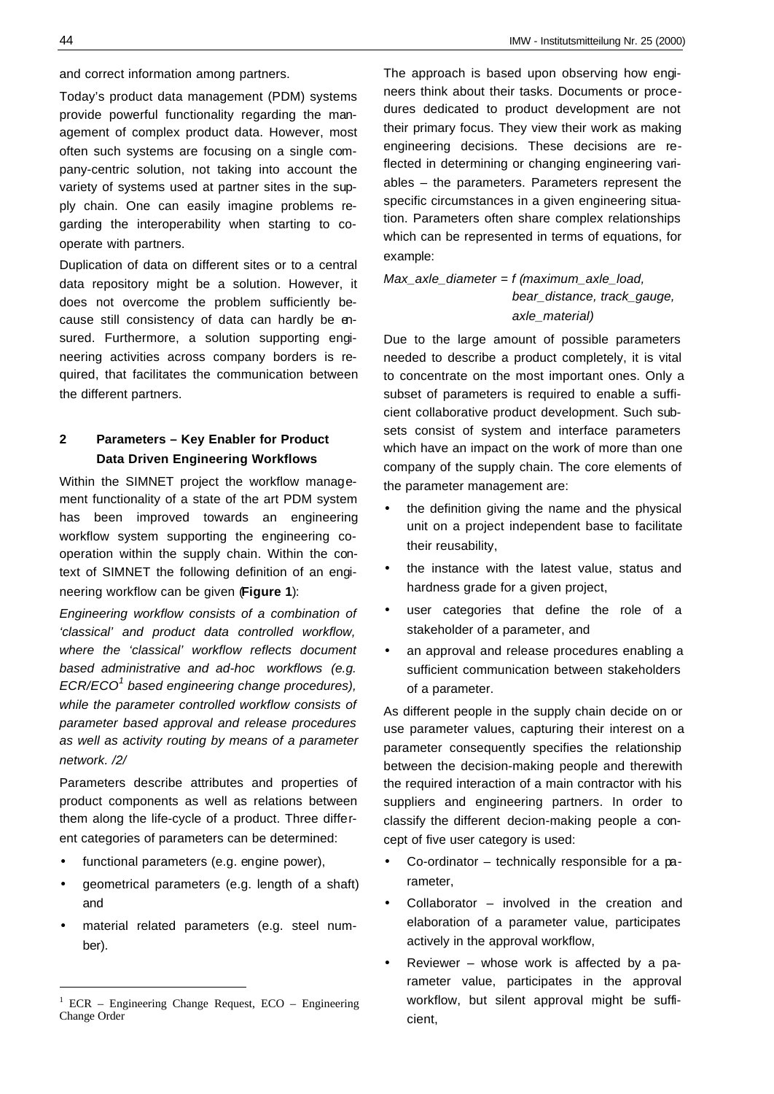and correct information among partners.

Today's product data management (PDM) systems provide powerful functionality regarding the management of complex product data. However, most often such systems are focusing on a single company-centric solution, not taking into account the variety of systems used at partner sites in the supply chain. One can easily imagine problems regarding the interoperability when starting to cooperate with partners.

Duplication of data on different sites or to a central data repository might be a solution. However, it does not overcome the problem sufficiently because still consistency of data can hardly be ensured. Furthermore, a solution supporting engineering activities across company borders is required, that facilitates the communication between the different partners.

## **2 Parameters – Key Enabler for Product Data Driven Engineering Workflows**

Within the SIMNET project the workflow management functionality of a state of the art PDM system has been improved towards an engineering workflow system supporting the engineering cooperation within the supply chain. Within the context of SIMNET the following definition of an engineering workflow can be given (**Figure 1**):

*Engineering workflow consists of a combination of 'classical' and product data controlled workflow, where the 'classical' workflow reflects document based administrative and ad-hoc workflows (e.g. ECR/ECO<sup>1</sup> based engineering change procedures), while the parameter controlled workflow consists of parameter based approval and release procedures as well as activity routing by means of a parameter network. /2/*

Parameters describe attributes and properties of product components as well as relations between them along the life-cycle of a product. Three different categories of parameters can be determined:

- functional parameters (e.g. engine power),
- geometrical parameters (e.g. length of a shaft) and
- material related parameters (e.g. steel number).

The approach is based upon observing how engineers think about their tasks. Documents or procedures dedicated to product development are not their primary focus. They view their work as making engineering decisions. These decisions are reflected in determining or changing engineering variables – the parameters. Parameters represent the specific circumstances in a given engineering situation. Parameters often share complex relationships which can be represented in terms of equations, for example:

*Max\_axle\_diameter = f (maximum\_axle\_load, bear\_distance, track\_gauge, axle\_material)*

Due to the large amount of possible parameters needed to describe a product completely, it is vital to concentrate on the most important ones. Only a subset of parameters is required to enable a sufficient collaborative product development. Such subsets consist of system and interface parameters which have an impact on the work of more than one company of the supply chain. The core elements of the parameter management are:

- the definition giving the name and the physical unit on a project independent base to facilitate their reusability,
- the instance with the latest value, status and hardness grade for a given project,
- user categories that define the role of a stakeholder of a parameter, and
- an approval and release procedures enabling a sufficient communication between stakeholders of a parameter.

As different people in the supply chain decide on or use parameter values, capturing their interest on a parameter consequently specifies the relationship between the decision-making people and therewith the required interaction of a main contractor with his suppliers and engineering partners. In order to classify the different decion-making people a concept of five user category is used:

- Co-ordinator technically responsible for a parameter,
- Collaborator involved in the creation and elaboration of a parameter value, participates actively in the approval workflow,
- Reviewer whose work is affected by a parameter value, participates in the approval workflow, but silent approval might be sufficient,

<sup>&</sup>lt;sup>1</sup> ECR – Engineering Change Request, ECO – Engineering Change Order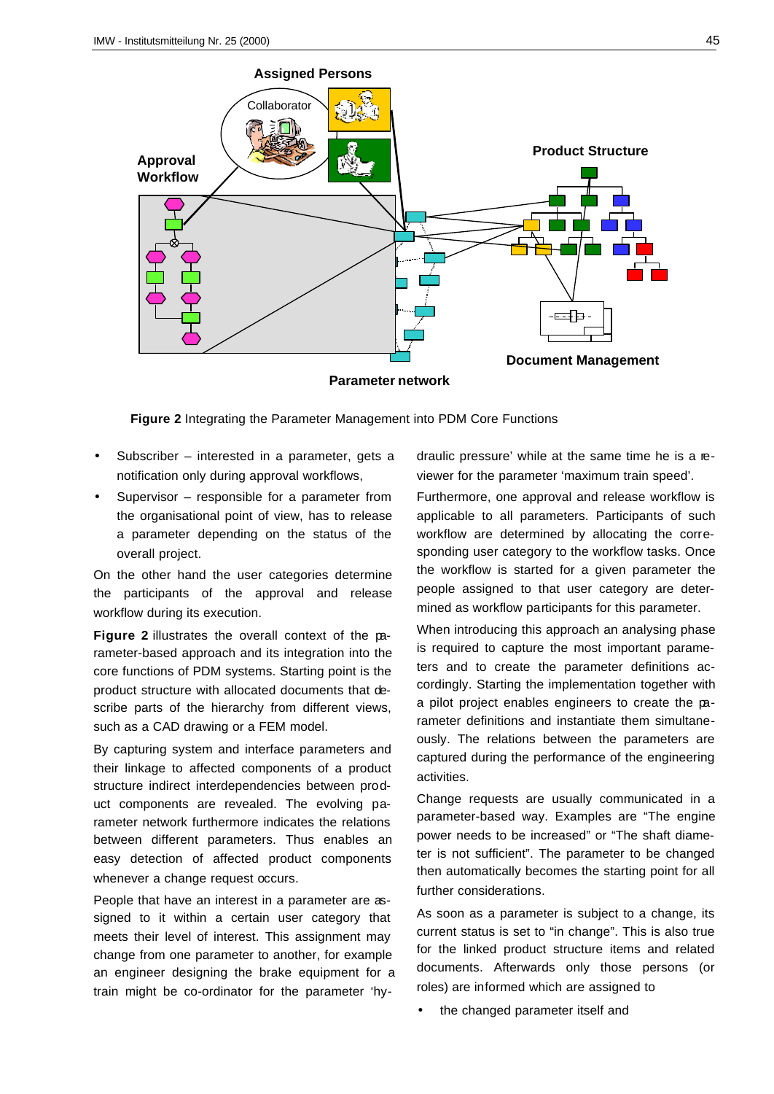

**Parameter network**

**Figure 2** Integrating the Parameter Management into PDM Core Functions

- Subscriber interested in a parameter, gets a notification only during approval workflows,
- Supervisor responsible for a parameter from the organisational point of view, has to release a parameter depending on the status of the overall project.

On the other hand the user categories determine the participants of the approval and release workflow during its execution.

**Figure 2** illustrates the overall context of the parameter-based approach and its integration into the core functions of PDM systems. Starting point is the product structure with allocated documents that describe parts of the hierarchy from different views, such as a CAD drawing or a FEM model.

By capturing system and interface parameters and their linkage to affected components of a product structure indirect interdependencies between product components are revealed. The evolving parameter network furthermore indicates the relations between different parameters. Thus enables an easy detection of affected product components whenever a change request occurs.

People that have an interest in a parameter are assigned to it within a certain user category that meets their level of interest. This assignment may change from one parameter to another, for example an engineer designing the brake equipment for a train might be co-ordinator for the parameter 'hydraulic pressure' while at the same time he is a reviewer for the parameter 'maximum train speed'.

Furthermore, one approval and release workflow is applicable to all parameters. Participants of such workflow are determined by allocating the corresponding user category to the workflow tasks. Once the workflow is started for a given parameter the people assigned to that user category are determined as workflow participants for this parameter.

When introducing this approach an analysing phase is required to capture the most important parameters and to create the parameter definitions accordingly. Starting the implementation together with a pilot project enables engineers to create the parameter definitions and instantiate them simultaneously. The relations between the parameters are captured during the performance of the engineering activities.

Change requests are usually communicated in a parameter-based way. Examples are "The engine power needs to be increased" or "The shaft diameter is not sufficient". The parameter to be changed then automatically becomes the starting point for all further considerations.

As soon as a parameter is subject to a change, its current status is set to "in change". This is also true for the linked product structure items and related documents. Afterwards only those persons (or roles) are informed which are assigned to

the changed parameter itself and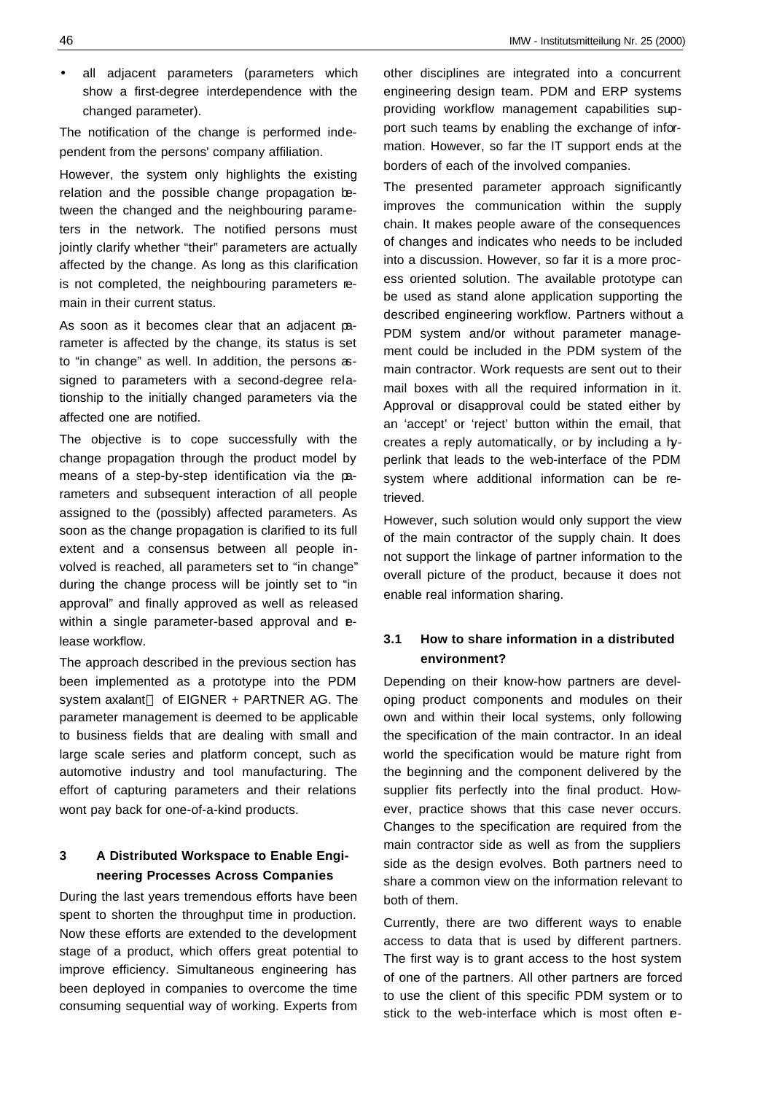• all adjacent parameters (parameters which show a first-degree interdependence with the changed parameter).

The notification of the change is performed independent from the persons' company affiliation.

However, the system only highlights the existing relation and the possible change propagation between the changed and the neighbouring parameters in the network. The notified persons must jointly clarify whether "their" parameters are actually affected by the change. As long as this clarification is not completed, the neighbouring parameters remain in their current status.

As soon as it becomes clear that an adjacent parameter is affected by the change, its status is set to "in change" as well. In addition, the persons assigned to parameters with a second-degree relationship to the initially changed parameters via the affected one are notified.

The objective is to cope successfully with the change propagation through the product model by means of a step-by-step identification via the parameters and subsequent interaction of all people assigned to the (possibly) affected parameters. As soon as the change propagation is clarified to its full extent and a consensus between all people involved is reached, all parameters set to "in change" during the change process will be jointly set to "in approval" and finally approved as well as released within a single parameter-based approval and elease workflow.

The approach described in the previous section has been implemented as a prototype into the PDM system axalant<sup> $TM$ </sup> of EIGNER + PARTNER AG. The parameter management is deemed to be applicable to business fields that are dealing with small and large scale series and platform concept, such as automotive industry and tool manufacturing. The effort of capturing parameters and their relations wont pay back for one-of-a-kind products.

#### **3 A Distributed Workspace to Enable Engineering Processes Across Companies**

During the last years tremendous efforts have been spent to shorten the throughput time in production. Now these efforts are extended to the development stage of a product, which offers great potential to improve efficiency. Simultaneous engineering has been deployed in companies to overcome the time consuming sequential way of working. Experts from

other disciplines are integrated into a concurrent engineering design team. PDM and ERP systems providing workflow management capabilities support such teams by enabling the exchange of information. However, so far the IT support ends at the borders of each of the involved companies.

The presented parameter approach significantly improves the communication within the supply chain. It makes people aware of the consequences of changes and indicates who needs to be included into a discussion. However, so far it is a more process oriented solution. The available prototype can be used as stand alone application supporting the described engineering workflow. Partners without a PDM system and/or without parameter management could be included in the PDM system of the main contractor. Work requests are sent out to their mail boxes with all the required information in it. Approval or disapproval could be stated either by an 'accept' or 'reject' button within the email, that creates a reply automatically, or by including a hyperlink that leads to the web-interface of the PDM system where additional information can be retrieved.

However, such solution would only support the view of the main contractor of the supply chain. It does not support the linkage of partner information to the overall picture of the product, because it does not enable real information sharing.

### **3.1 How to share information in a distributed environment?**

Depending on their know-how partners are developing product components and modules on their own and within their local systems, only following the specification of the main contractor. In an ideal world the specification would be mature right from the beginning and the component delivered by the supplier fits perfectly into the final product. However, practice shows that this case never occurs. Changes to the specification are required from the main contractor side as well as from the suppliers side as the design evolves. Both partners need to share a common view on the information relevant to both of them.

Currently, there are two different ways to enable access to data that is used by different partners. The first way is to grant access to the host system of one of the partners. All other partners are forced to use the client of this specific PDM system or to stick to the web-interface which is most often e-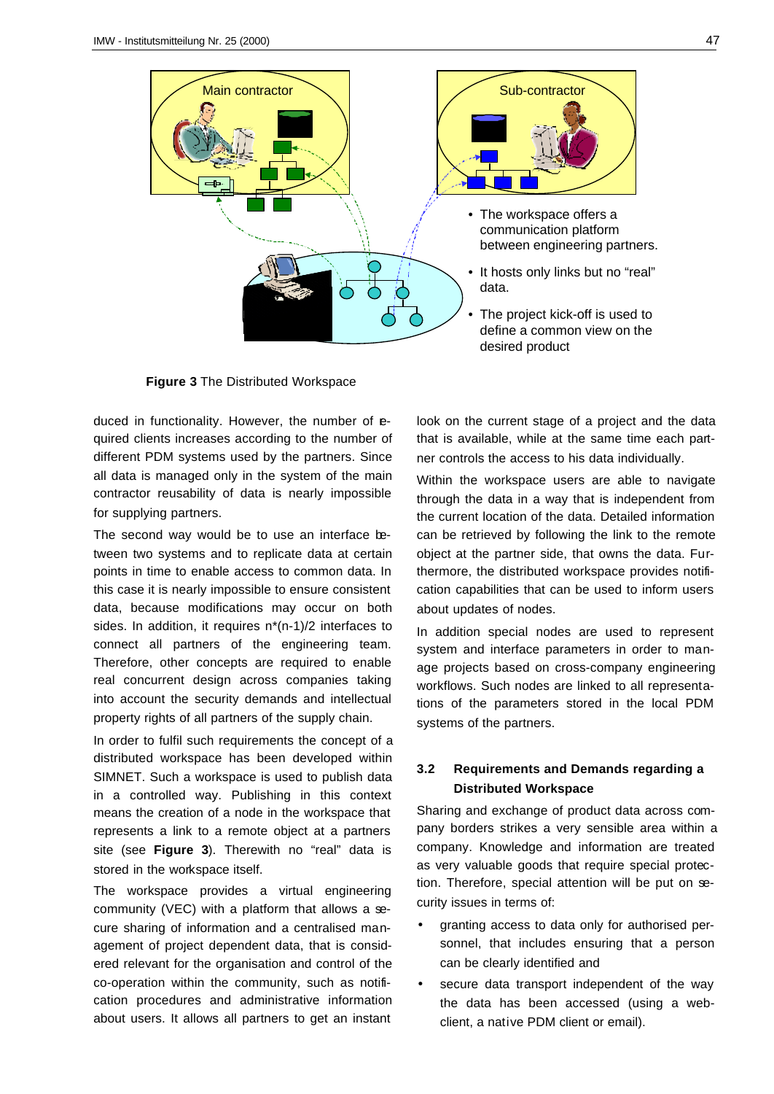

**Figure 3** The Distributed Workspace

duced in functionality. However, the number of equired clients increases according to the number of different PDM systems used by the partners. Since all data is managed only in the system of the main contractor reusability of data is nearly impossible for supplying partners.

The second way would be to use an interface between two systems and to replicate data at certain points in time to enable access to common data. In this case it is nearly impossible to ensure consistent data, because modifications may occur on both sides. In addition, it requires n\*(n-1)/2 interfaces to connect all partners of the engineering team. Therefore, other concepts are required to enable real concurrent design across companies taking into account the security demands and intellectual property rights of all partners of the supply chain.

In order to fulfil such requirements the concept of a distributed workspace has been developed within SIMNET. Such a workspace is used to publish data in a controlled way. Publishing in this context means the creation of a node in the workspace that represents a link to a remote object at a partners site (see **Figure 3**). Therewith no "real" data is stored in the workspace itself.

The workspace provides a virtual engineering community (VEC) with a platform that allows a secure sharing of information and a centralised management of project dependent data, that is considered relevant for the organisation and control of the co-operation within the community, such as notification procedures and administrative information about users. It allows all partners to get an instant

look on the current stage of a project and the data that is available, while at the same time each partner controls the access to his data individually.

Within the workspace users are able to navigate through the data in a way that is independent from the current location of the data. Detailed information can be retrieved by following the link to the remote object at the partner side, that owns the data. Furthermore, the distributed workspace provides notification capabilities that can be used to inform users about updates of nodes.

In addition special nodes are used to represent system and interface parameters in order to manage projects based on cross-company engineering workflows. Such nodes are linked to all representations of the parameters stored in the local PDM systems of the partners.

#### **3.2 Requirements and Demands regarding a Distributed Workspace**

Sharing and exchange of product data across company borders strikes a very sensible area within a company. Knowledge and information are treated as very valuable goods that require special protection. Therefore, special attention will be put on security issues in terms of:

- granting access to data only for authorised personnel, that includes ensuring that a person can be clearly identified and
- secure data transport independent of the way the data has been accessed (using a webclient, a native PDM client or email).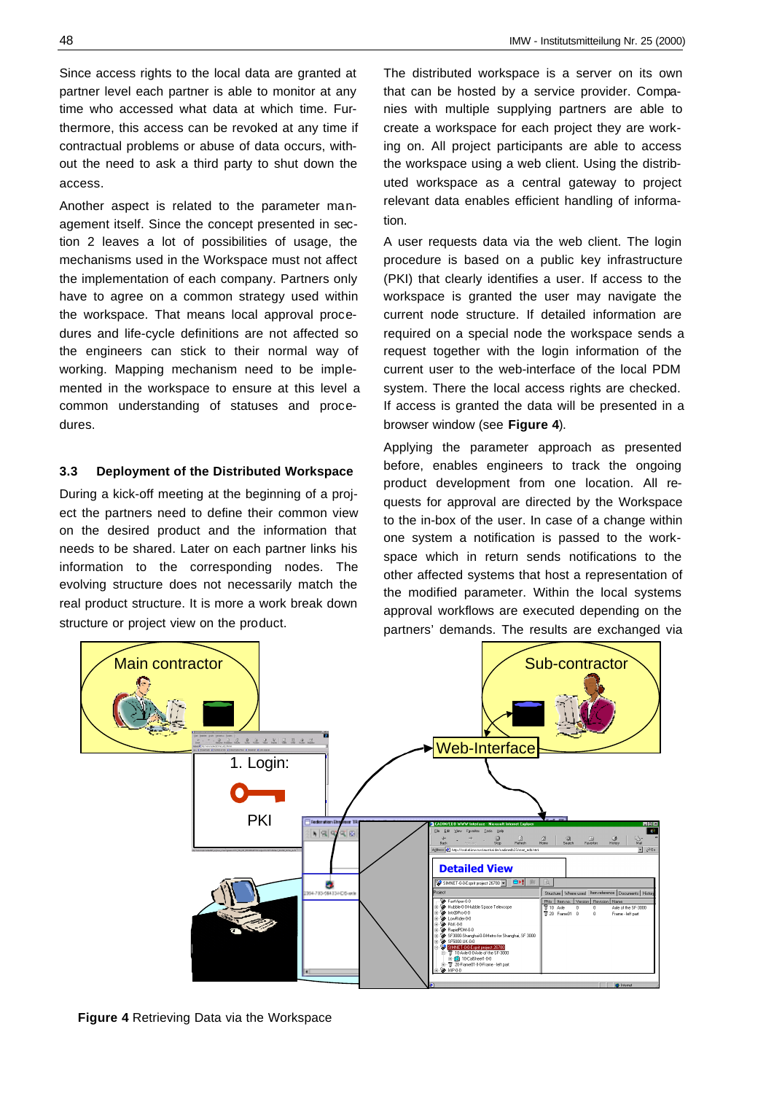Since access rights to the local data are granted at partner level each partner is able to monitor at any time who accessed what data at which time. Furthermore, this access can be revoked at any time if contractual problems or abuse of data occurs, without the need to ask a third party to shut down the access.

Another aspect is related to the parameter management itself. Since the concept presented in section 2 leaves a lot of possibilities of usage, the mechanisms used in the Workspace must not affect the implementation of each company. Partners only have to agree on a common strategy used within the workspace. That means local approval procedures and life-cycle definitions are not affected so the engineers can stick to their normal way of working. Mapping mechanism need to be implemented in the workspace to ensure at this level a common understanding of statuses and procedures.

#### **3.3 Deployment of the Distributed Workspace**

During a kick-off meeting at the beginning of a project the partners need to define their common view on the desired product and the information that needs to be shared. Later on each partner links his information to the corresponding nodes. The evolving structure does not necessarily match the real product structure. It is more a work break down structure or project view on the product.

The distributed workspace is a server on its own that can be hosted by a service provider. Companies with multiple supplying partners are able to create a workspace for each project they are working on. All project participants are able to access the workspace using a web client. Using the distributed workspace as a central gateway to project relevant data enables efficient handling of information.

A user requests data via the web client. The login procedure is based on a public key infrastructure (PKI) that clearly identifies a user. If access to the workspace is granted the user may navigate the current node structure. If detailed information are required on a special node the workspace sends a request together with the login information of the current user to the web-interface of the local PDM system. There the local access rights are checked. If access is granted the data will be presented in a browser window (see **Figure 4**).

Applying the parameter approach as presented before, enables engineers to track the ongoing product development from one location. All requests for approval are directed by the Workspace to the in-box of the user. In case of a change within one system a notification is passed to the workspace which in return sends notifications to the other affected systems that host a representation of the modified parameter. Within the local systems approval workflows are executed depending on the partners' demands. The results are exchanged via



**Figure 4** Retrieving Data via the Workspace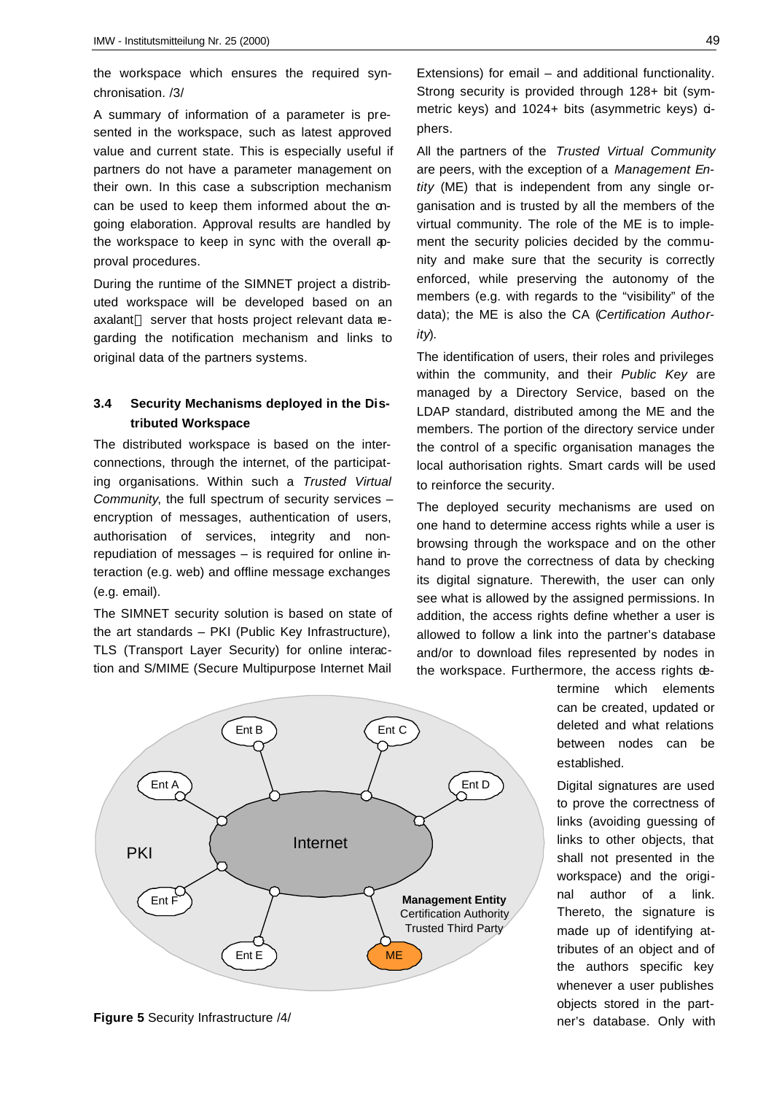the workspace which ensures the required synchronisation. /3/

A summary of information of a parameter is presented in the workspace, such as latest approved value and current state. This is especially useful if partners do not have a parameter management on their own. In this case a subscription mechanism can be used to keep them informed about the ongoing elaboration. Approval results are handled by the workspace to keep in sync with the overall approval procedures.

During the runtime of the SIMNET project a distributed workspace will be developed based on an  $a$ xalant $T M$  server that hosts project relevant data regarding the notification mechanism and links to original data of the partners systems.

### **3.4 Security Mechanisms deployed in the Distributed Workspace**

The distributed workspace is based on the interconnections, through the internet, of the participating organisations. Within such a *Trusted Virtual Community*, the full spectrum of security services – encryption of messages, authentication of users, authorisation of services, integrity and nonrepudiation of messages – is required for online interaction (e.g. web) and offline message exchanges (e.g. email).

The SIMNET security solution is based on state of the art standards – PKI (Public Key Infrastructure), TLS (Transport Layer Security) for online interaction and S/MIME (Secure Multipurpose Internet Mail



All the partners of the *Trusted Virtual Community* are peers, with the exception of a *Management Entity* (ME) that is independent from any single organisation and is trusted by all the members of the virtual community. The role of the ME is to implement the security policies decided by the community and make sure that the security is correctly enforced, while preserving the autonomy of the members (e.g. with regards to the "visibility" of the data); the ME is also the CA (*Certification Authority*).

The identification of users, their roles and privileges within the community, and their *Public Key* are managed by a Directory Service, based on the LDAP standard, distributed among the ME and the members. The portion of the directory service under the control of a specific organisation manages the local authorisation rights. Smart cards will be used to reinforce the security.

The deployed security mechanisms are used on one hand to determine access rights while a user is browsing through the workspace and on the other hand to prove the correctness of data by checking its digital signature. Therewith, the user can only see what is allowed by the assigned permissions. In addition, the access rights define whether a user is allowed to follow a link into the partner's database and/or to download files represented by nodes in the workspace. Furthermore, the access rights de-



**Figure 5** Security Infrastructure /4/

termine which elements can be created, updated or deleted and what relations between nodes can be established.

Digital signatures are used to prove the correctness of links (avoiding guessing of links to other objects, that shall not presented in the workspace) and the original author of a link. Thereto, the signature is made up of identifying attributes of an object and of the authors specific key whenever a user publishes objects stored in the partner's database. Only with